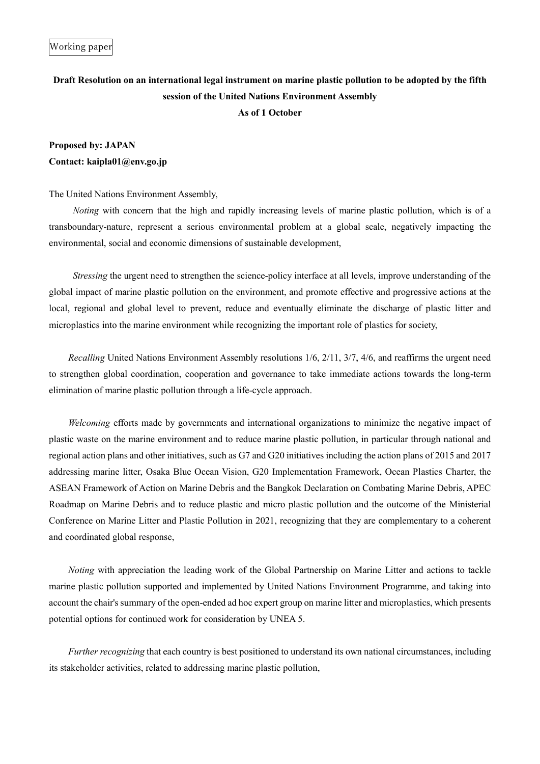## **Draft Resolution on an international legal instrument on marine plastic pollution to be adopted by the fifth session of the United Nations Environment Assembly As of 1 October**

## **Proposed by: JAPAN Contact: kaipla01@env.go.jp**

The United Nations Environment Assembly,

*Noting* with concern that the high and rapidly increasing levels of marine plastic pollution, which is of a transboundary-nature, represent a serious environmental problem at a global scale, negatively impacting the environmental, social and economic dimensions of sustainable development,

*Stressing* the urgent need to strengthen the science-policy interface at all levels, improve understanding of the global impact of marine plastic pollution on the environment, and promote effective and progressive actions at the local, regional and global level to prevent, reduce and eventually eliminate the discharge of plastic litter and microplastics into the marine environment while recognizing the important role of plastics for society,

*Recalling* United Nations Environment Assembly resolutions 1/6, 2/11, 3/7, 4/6, and reaffirms the urgent need to strengthen global coordination, cooperation and governance to take immediate actions towards the long-term elimination of marine plastic pollution through a life-cycle approach.

*Welcoming* efforts made by governments and international organizations to minimize the negative impact of plastic waste on the marine environment and to reduce marine plastic pollution, in particular through national and regional action plans and other initiatives, such as G7 and G20 initiatives including the action plans of 2015 and 2017 addressing marine litter, Osaka Blue Ocean Vision, G20 Implementation Framework, Ocean Plastics Charter, the ASEAN Framework of Action on Marine Debris and the Bangkok Declaration on Combating Marine Debris, APEC Roadmap on Marine Debris and to reduce plastic and micro plastic pollution and the outcome of the Ministerial Conference on Marine Litter and Plastic Pollution in 2021, recognizing that they are complementary to a coherent and coordinated global response,

*Noting* with appreciation the leading work of the Global Partnership on Marine Litter and actions to tackle marine plastic pollution supported and implemented by United Nations Environment Programme, and taking into account the chair's summary of the open-ended ad hoc expert group on marine litter and microplastics, which presents potential options for continued work for consideration by UNEA 5.

*Further recognizing* that each country is best positioned to understand its own national circumstances, including its stakeholder activities, related to addressing marine plastic pollution,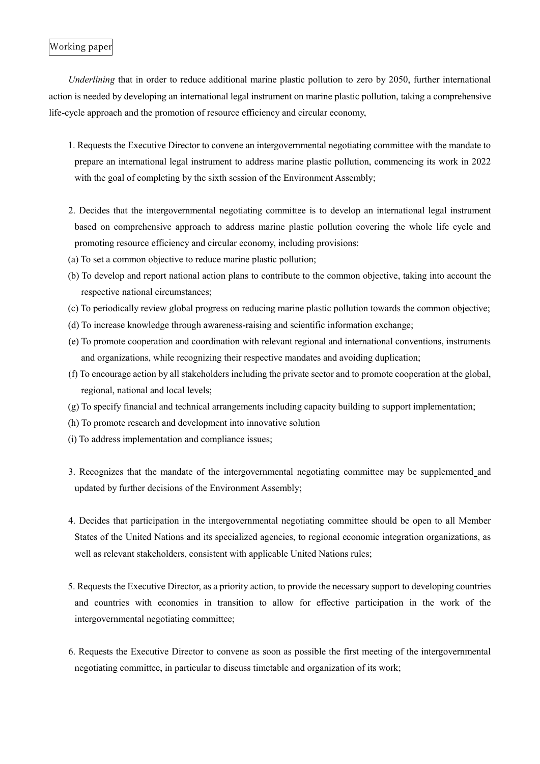## Working paper

*Underlining* that in order to reduce additional marine plastic pollution to zero by 2050, further international action is needed by developing an international legal instrument on marine plastic pollution, taking a comprehensive life-cycle approach and the promotion of resource efficiency and circular economy,

- 1. Requests the Executive Director to convene an intergovernmental negotiating committee with the mandate to prepare an international legal instrument to address marine plastic pollution, commencing its work in 2022 with the goal of completing by the sixth session of the Environment Assembly;
- 2. Decides that the intergovernmental negotiating committee is to develop an international legal instrument based on comprehensive approach to address marine plastic pollution covering the whole life cycle and promoting resource efficiency and circular economy, including provisions:
- (a) To set a common objective to reduce marine plastic pollution;
- (b) To develop and report national action plans to contribute to the common objective, taking into account the respective national circumstances;
- (c) To periodically review global progress on reducing marine plastic pollution towards the common objective;
- (d) To increase knowledge through awareness-raising and scientific information exchange;
- (e) To promote cooperation and coordination with relevant regional and international conventions, instruments and organizations, while recognizing their respective mandates and avoiding duplication;
- (f) To encourage action by all stakeholders including the private sector and to promote cooperation at the global, regional, national and local levels;
- (g) To specify financial and technical arrangements including capacity building to support implementation;
- (h) To promote research and development into innovative solution
- (i) To address implementation and compliance issues;
- 3. Recognizes that the mandate of the intergovernmental negotiating committee may be supplemented and updated by further decisions of the Environment Assembly;
- 4. Decides that participation in the intergovernmental negotiating committee should be open to all Member States of the United Nations and its specialized agencies, to regional economic integration organizations, as well as relevant stakeholders, consistent with applicable United Nations rules;
- 5. Requests the Executive Director, as a priority action, to provide the necessary support to developing countries and countries with economies in transition to allow for effective participation in the work of the intergovernmental negotiating committee;
- 6. Requests the Executive Director to convene as soon as possible the first meeting of the intergovernmental negotiating committee, in particular to discuss timetable and organization of its work;